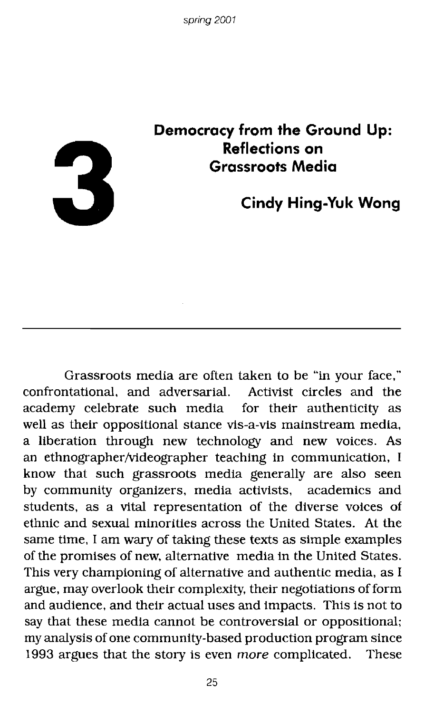

# **Democracy from the Ground Up: Reflections on Grassroots Media**

**Cindy Hing-Yuk Wong**

Grassroots media are often taken to be "in your face," confrontational, and adversarial. Activist circles and the academy celebrate such media for their authenticity as well as their oppositional stance vis-a-vis mainstream media, a liberation through new technology and new voices. As an ethnographer/videographer teaching in communication, I know that such grassroots media generally are also seen by community organizers, media activists, academics and students, as a vital representation of the diverse voices of ethnic and sexual minorities across the United States. At the same time, I am wary of taking these texts as simple examples of the promises of new, alternative media in the United States. This very championing of alternative and authentic media, as I argue, may overlook their complexity, their negotiations of form and audience, and their actual uses and impacts. This is not to say that these media cannot be controversial or oppositional; my analysis of one community-based production program since 1993 argues that the story is even more complicated. These

25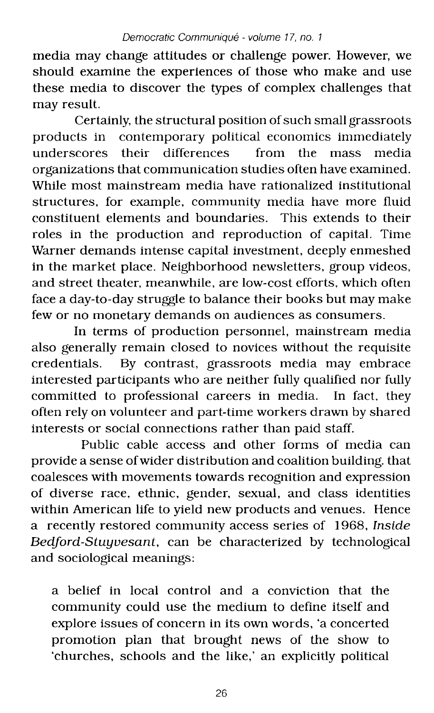media may change attitudes or challenge power. However, we should examine the experiences of those who make and use these media to discover the types of complex challenges that may result.

Certainly, the structural position of such small grassroots products in contemporary political economics immediately<br>underscores their differences from the mass media underscores their differences from the mass media organizations that communication studies often have examined. While most mainstream media have rationalized institutional structures, for example, community media have more fluid constituent elements and boundaries. This extends to their roles in the production and reproduction of capital. Time Warner demands intense capital investment, deeply enmeshed in the market place. Neighborhood newsletters, group videos, and street theater, meanwhile, are low-cost efforts, which often face a day-to-day struggle to balance their books but may make few or no monetary demands on audiences as consumers.

In terms of production personnel, mainstream media also generally remain closed to novices without the requisite credentials. By contrast, grassroots media may embrace interested participants who are neither fully qualified nor fully committed to professional careers in media. In fact, they often rely on volunteer and part-time workers drawn by shared interests or social connections rather than paid staff.

Public cable access and other forms of media can provide a sense ofwider distribution and coalition building. that coalesces with movements towards recognition and expression of diverse race, ethnic, gender, sexual, and class identities within American life to yield new products and venues. Hence a recently restored community access series of 1968, *Inside Bedford-Stuyvesant,* can be characterized by technological and sociological meanings:

a belief in local control and a conviction that the community could use the medium to define itself and explore issues of concern in its own words, 'a concerted promotion plan that brought news of the show to 'churches, schools and the like,' an explicitly political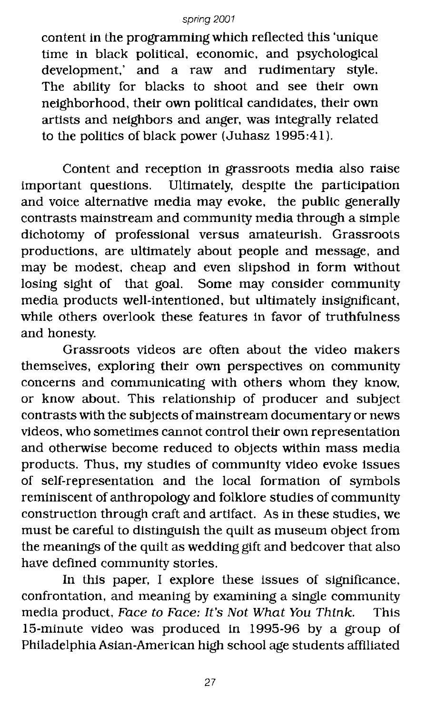content in the programming which reflected this 'unique time in black political, economic, and psychological development,' and a raw and rudimentary style. The ability for blacks to shoot and see their own neighborhood, their own political candidates, their own artists and neighbors and anger, was integrally related to the politics of black power (Juhasz 1995:41).

Content and reception in grassroots media also raise important questions. Ultimately, despite the participation and voice alternative media may evoke. the public generally contrasts mainstream and community media through a simple dichotomy of professional versus amateurish. Grassroots productions, are ultimately about people and message, and may be modest, cheap and even slipshod in form without losing sight of that goal. Some may consider community media products well-intentioned, but ultimately insignificant, while others overlook these features in favor of truthfulness and honesty.

Grassroots videos are often about the video makers themselves, exploring their own perspectives on community concerns and communicating with others whom they know, or know about. This relationship of producer and subject contrasts with the subjects of mainstream documentary or news videos, who sometimes cannot control their own representation and otherwise become reduced to objects within mass media products. Thus. my studies of community video evoke issues of self-representation and the local formation of symbols reminiscent of anthropology and folklore studies of community construction through craft and artifact. As in these studies, we must be careful to distinguish the quilt as museum object from the meanings of the quilt as wedding gift and bedcover that also have defined community stories.

In this paper, I explore these issues of Significance, confrontation, and meaning by examining a single community media product, Face to Face: It's Not What You Think. This IS-minute video was produced in 1995-96 by a group of Philadelphia Asian-American high school age students affiliated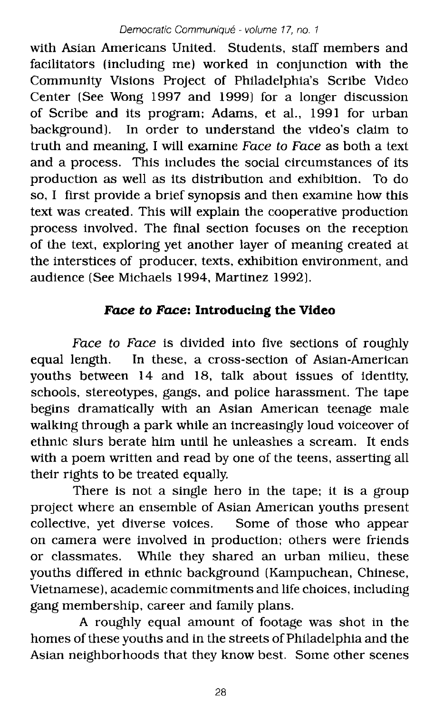with Asian Americans United. Students, staff members and facilitators (including me) worked in conjunction with the Community Visions Project of Philadelphia's Scribe Video Center (See Wong 1997 and 1999) for a longer discussion of Scribe and its program; Adams, et al., 1991 for urban background). In order to understand the video's claim to truth and meaning, I will examine Face to Face as both a text and a process. This includes the social circumstances of its production as well as its distribution and exhibition, To do so, I first provide a brief synopsis and then examine how this text was created. This will explain the cooperative production process involved. The final section focuses on the reception of the text, exploring yet another layer of meaning created at the interstices of producer, texts, exhibition environment, and audience (See Michaels 1994, Martinez 1992).

## **Face to Face: Introducing the Video**

Face to Face is divided into five sections of roughly equal length. In these, a cross-section of Asian-American youths between 14 and 18, talk about issues of identity, schools, stereotypes, gangs, and police harassment. The tape begins dramatically with an Asian American teenage male walking through a park while an increasingly loud voiceover of ethnic slurs berate him until he unleashes a scream. It ends with a poem written and read by one of the teens, asserting all their rights to be treated equally.

There is not a single hero in the tape; it is a group project where an ensemble of Asian American youths present collective, yet diverse voices. Some of those who appear on camera were involved in production; others were friends or classmates. While they shared an urban milieu, these youths differed in ethnic background (Kampuchean, Chinese, Vietnamese), academic commitments and life choices, including gang membership, career and family plans.

A roughly equal amount of footage was shot in the homes of these youths and in the streets of Philadelphia and the Asian neighborhoods that they know best. Some other scenes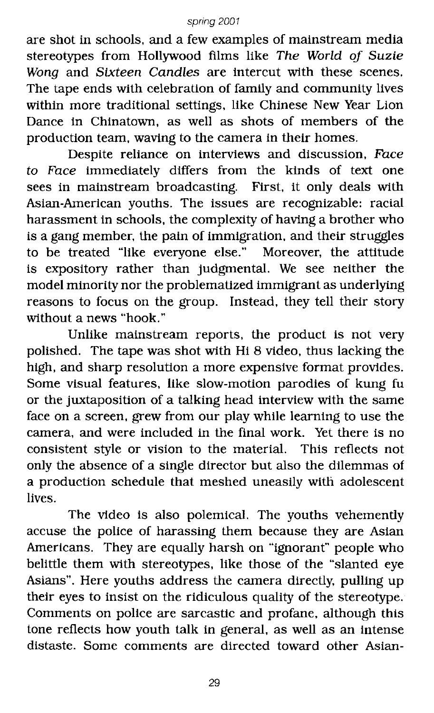are shot in schools, and a few examples of mainstream media stereotypes from Hollywood films like The World of Suzie Wong and Sixteen Candles are intercut with these scenes. The tape ends with celebration of family and community lives within more traditional settings, like Chinese New Year Lion Dance in Chinatown, as well as shots of members of the production team, waving to the camera in their homes.

Despite reliance on interviews and discussion, Face to Face immediately differs from the kinds of text one sees in mainstream broadcasting. First. it only deals with Asian-American youths. The issues are recognizable: racial harassment in schools, the complexity of having a brother who is a gang member, the pain of immigration, and their struggles to be treated "like everyone else." Moreover, the attitude is expository rather than judgmental. We see neither the model minority nor the problematized immigrant as underlying reasons to focus on the group. Instead, they tell their story without a news "hook."

Unlike mainstream reports. the product is not very polished. The tape was shot with Hi 8 video, thus lacking the high. and sharp resolution a more expensive format provides. Some visual features, like slow-motion parodies of kung fu or the juxtaposition of a talking head interview with the same face on a screen, grew from our play while learning to use the camera, and were included in the final work. Yet there is no consistent style or vision to the material. This reflects not only the absence of a single director but also the dilemmas of a production schedule that meshed uneasily with adolescent lives.

The video is also polemical. The youths vehemently accuse the police of harassing them because they are Asian Americans. They are equally harsh on "ignorant" people who belittle them with stereotypes. like those of the "slanted eye Asians". Here youths address the camera directly, pulling up their eyes to insist on the ridiculous quality of the stereotype. Comments on police are sarcastic and profane, although this tone reflects how youth talk in general, as well as an intense distaste. Some comments are directed toward other Asian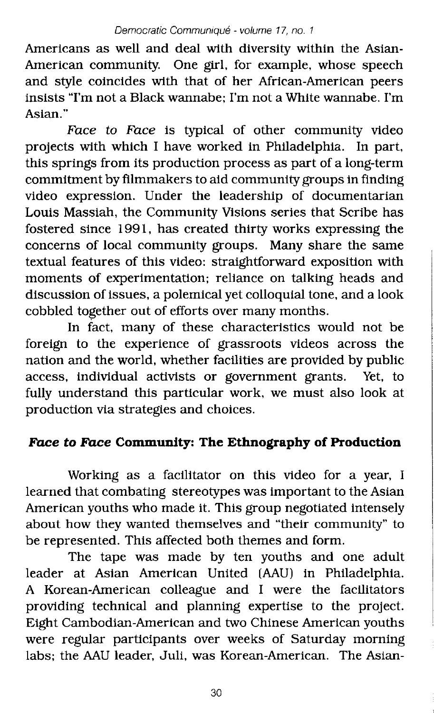Americans as well and deal with diversity within the Asian-American community. One girl, for example, whose speech and style coincides with that of her African-American peers insists ''I'm not a Black wannabe; I'm not a White wannabe. I'm Asian."

Face to Face is typical of other community video projects with which I have worked in Philadelphia. In part, this springs from its production process as part of a long-term commitment by filmmakers to aid community groups in finding video expression. Under the leadership of documentarian Louis Massiah, the Community Visions series that Scribe has fostered since 1991, has created thirty works expressing the concerns of local community groups. Many share the same textual features of this video: straightforward exposition with moments of experimentation; reliance on talking heads and discussion of issues, a polemical yet colloquial tone, and a look cobbled together out of efforts over many months.

In fact, many of these characteristics would not be foreign to the experience of grassroots videos across the nation and the world, whether facilities are provided by public access, individual activists or government grants. Yet, to fully understand this particular work, we must also look at production via strategies and choices.

# **Face to Face Community: The Ethnography of Production**

Working as a facilitator on this video for a year, I learned that combating stereotypes was important to the Asian American youths who made it. This group negotiated intensely about how they wanted themselves and "their community" to be represented. This affected both themes and form.

The tape was made by ten youths and one adult leader at Asian American United (AAU) in Philadelphia. A Korean-American colleague and I were the facilitators providing technical and planning expertise to the project. Eight Cambodian-American and two Chinese American youths were regular participants over weeks of Saturday morning labs; the AAU leader, Juli, was Korean-American. The Asian-

30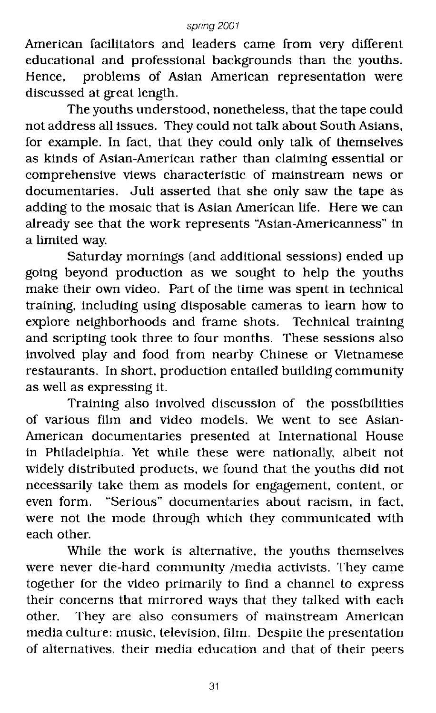American facilitators and leaders came from very different educational and professional backgrounds than the youths. Hence, problems of Asian American representation were discussed at great length.

The youths understood, nonetheless, that the tape could not address all issues. They could not talk about South Asians, for example. In fact, that they could only talk of themselves as kinds of Asian-American rather than claiming essential or comprehensive views characteristic of mainstream news or documentaries. Juli asserted that she only saw the tape as adding to the mosaic that is Asian American life. Here we can already see that the work represents "Asian-Americanness" in a limited way.

Saturday mornings (and additional sessions) ended up going beyond production as we sought to help the youths make their own video. Part of the time was spent in technical training, including using disposable cameras to learn how to explore neighborhoods and frame shots. Technical training and scripting took three to four months. These sessions also involved play and food from nearby Chinese or Vietnamese restaurants. In short, production entailed building community as well as expressing it.

Training also involved discussion of the possibilities of various film and video models. We went to see Asian-American documentaries presented at International House in Philadelphia. Yet while these were nationally, albeit not widely distributed products, we found that the youths did not necessarily take them as models for engagement, content, or even form. "Serious" documentaries about racism, in fact, were not the mode through which they communicated with each other.

While the work is alternative, the youths themselves were never die-hard community /media activists. They came together for the video primarily to find a channel to express their concerns that mirrored ways that they talked with each other. They are also consumers of mainstream American media culture: music, television, film. Despite the presentation of alternatives, their media education and that of their peers

31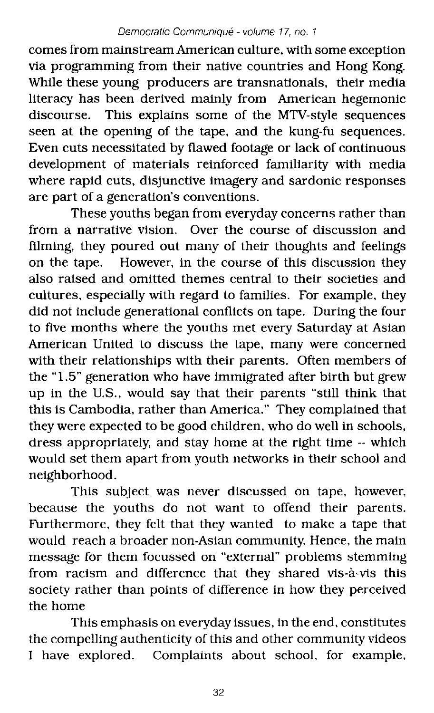comes from mainstreamAmerican culture, with some exception via programming from their native countries and Hong Kong. While these young producers are transnatlonals, their media literacy has been derived mainly from American hegemonic discourse. This explains some of the MTV-style sequences seen at the opening of the tape, and the kung-fu sequences. Even cuts necessitated by flawed footage or lack of continuous development of materials reinforced familiarity with media where rapid cuts, disjunctive imagery and sardonic responses are part of a generation's conventions.

These youths began from everyday concerns rather than from a narrative vision. Over the course of discussion and filming, they poured out many of their thoughts and feelings on the tape. However, in the course of this discussion they also raised and omitted themes central to their societies and cultures, especially with regard to families. For example, they did not include generational conflicts on tape. During the four to five months where the youths met every Saturday at Asian American United to discuss the tape, many were concerned with their relationships with their parents. Often members of the "1.5" generation who have immigrated after birth but grew up in the U.S., would say that their parents "still think that this is Cambodia, rather than America." They complained that they were expected to be good children, who do well in schools, dress appropriately, and stay home at the right time -- which would set them apart from youth networks in their school and neighborhood.

This subject was never discussed on tape, however, because the youths do not want to offend their parents. Furthermore, they felt that they wanted to make a tape that would reach a broader non-Asian community. Hence, the main message for them focussed on "external" problems stemming from racism and difference that they shared vis-à-vis this society rather than points of difference in how they perceived the home

This emphasis on everyday issues, in the end, constitutes the compelling authenticity of this and other community videos I have explored. Complaints about school, for example,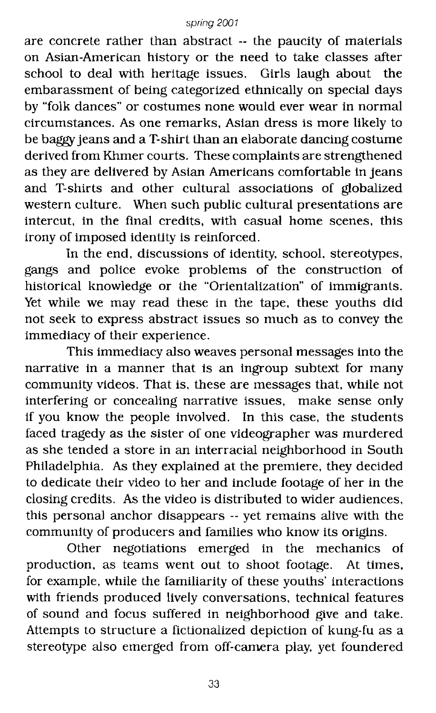are concrete rather than abstract -- the paucity of materials on Asian-American history or the need to take classes after school to deal with heritage issues. Girls laugh about the embarassment of being categorized ethnically on special days by "folk dances" or costumes none would ever wear in normal circumstances. As one remarks, Asian dress is more likely to be baggy jeans and a T-shirt than an elaborate dancing costume derived from Khmer courts. These complaints are strengthened as they are delivered by Asian Americans comfortable in jeans and T-shirts and other cultural associations of globalized western culture. When such public cultural presentations are intercut, in the final credits, with casual home scenes, this irony of imposed identity is reinforced.

In the end, discussions of identity, school, stereotypes, gangs and police evoke problems of the construction of historical knowledge or the "Orientalization" of immigrants. Yet while we may read these in the tape, these youths did not seek to express abstract issues so much as to convey the immediacy of their experience.

This immediacy also weaves personal messages into the narrative in a manner that is an ingroup subtext for many community videos. That is, these are messages that, while not interfering or concealing narrative issues, make sense only if you know the people involved. In this case, the students faced tragedy as the sister of one videographer was murdered as she tended a store in an interracial neighborhood in South Philadelphia. As they explained at the premiere, they decided to dedicate their video to her and include footage of her in the closing credits. As the video is distributed to wider audiences, this personal anchor disappears -- yet remains alive with the community of producers and families who know its origins.

Other negotiations emerged in the mechanics of production, as teams went out to shoot footage. At times, for example, while the familiarity of these youths' interactions with friends produced lively conversations, technical features of sound and focus suffered in neighborhood give and take. Attempts to structure a fictionalized depiction of kung-fu as a stereotype also emerged from off-camera play, yet foundered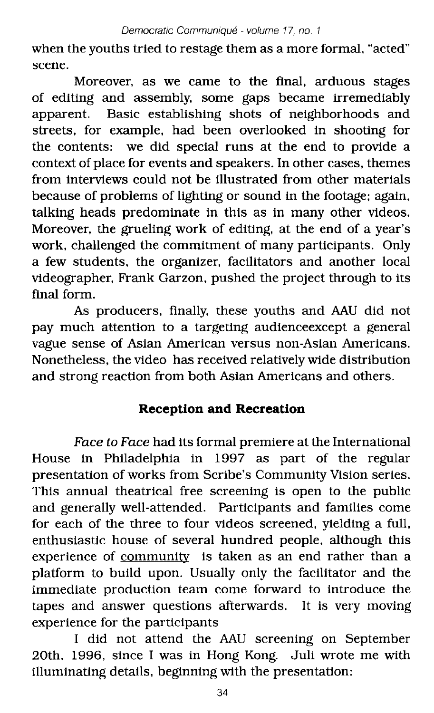when the youths tried to restage them as a more formal, "acted" scene.

Moreover, as we came to the final, arduous stages of editing and assembly, some gaps became irremediably apparent. Basic establishing shots of neighborhoods and streets, for example, had been overlooked in shooting for the contents: we did special runs at the end to provide a context of place for events and speakers. In other cases, themes from interviews could not be illustrated from other materials because of problems of lighting or sound in the footage; again, talking heads predominate in this as in many other videos. Moreover, the grueling work of editing, at the end of a year's work, challenged the commitment of many participants. Only a few students, the organizer, facilitators and another local videographer, Frank Garzon, pushed the project through to its final form.

As producers, finally, these youths and AAU did not pay much attention to a targeting audienceexcept a general vague sense of Asian American versus non-Asian Americans. Nonetheless, the video has received relatively wide distribution and strong reaction from both Asian Americans and others.

## **Reception and Recreation**

Face to Face had its formal premiere at the International House in Philadelphia in 1997 as part of the regular presentation of works from Scribe's Community Vision series. This annual theatrical free screening is open to the public and generally well-attended. Participants and families come for each of the three to four videos screened, yielding a full, enthusiastic house of several hundred people, although this experience of community is taken as an end rather than a platform to build upon. Usually only the facilitator and the immediate production team come forward to introduce the tapes and answer questions afterwards. It is very moving experience for the participants

I did not attend the AAU screening on September 20th, 1996, since I was in Hong Kong. Juli wrote me with illuminating details, beginning with the presentation: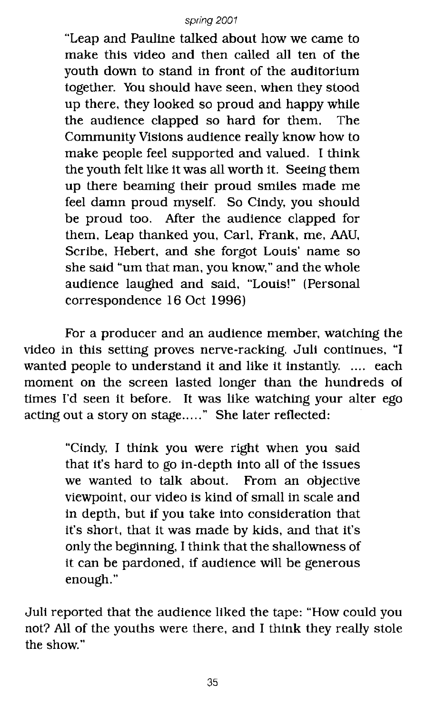"Leap and Pauline talked about how we came to make this video and then called all ten of the youth down to stand in front of the auditorium together. You should have seen. when they stood up there. they looked so proud and happy while the audience clapped so hard for them. The Community Visions audience really know how to make people feel supported and valued. 1 think the youth felt like it was all worth it. Seeing them up there beaming their proud smiles made me feel damn proud myself. So Cindy. you should be proud too. After the audience clapped for them. Leap thanked you, Carl, Frank. me. AAU, Scribe. Hebert. and she forgot Louis' name so she said "urn that man. you know," and the whole audience laughed and Said. "Louis!" (Personal correspondence 16 Oct 1996)

For a producer and an audience member. watching the video in this setting proves nerve-racking. Juli continues. "I wanted people to understand it and like it instantly. .... each moment on the screen lasted longer than the hundreds of times I'd seen it before. It was like watching your alter ego acting out a story on stage....." She later reflected:

> "Cindy, 1 think you were right when you said that it's hard to go in-depth into all of the issues we wanted to talk about. From an objective Viewpoint, our video is kind of small in scale and in depth, but if you take into consideration that it's short, that it was made by kids, and that it's only the beginning, 1think that the shallowness of it can be pardoned, if audience will be generous enough."

Juli reported that the audience liked the tape: "How could you not? All of the youths were there, and 1 think they really stole the show."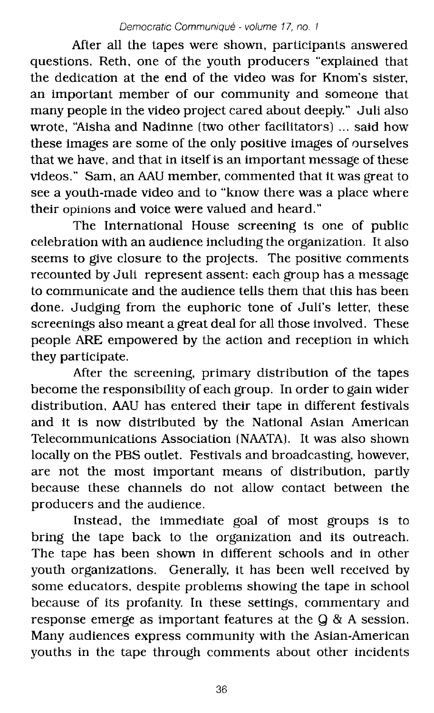After all the tapes were shown, participants answered questions. Reth, one of the youth producers "explained that the dedication at the end of the video was for Knom's sister, an important member of our community and someone that many people in the video project cared about deeply." Juli also wrote, "Aisha and Nadinne (two other facilitators) ... said how these images are some of the only positive images of ourselves that we have, and that in itself is an important message of these videos." Sam, an AAU member, commented that it was great to see a youth-made video and to "know there was a place where their opinions and voice were valued and heard."

The International House screening is one of public celebration with an audience including the organization. It also seems to give closure to the projects. The positive comments recounted by Juli represent assent: each group has a message to communicate and the audience tells them that this has been done. Judging from the euphoric tone of Juli's letter, these screenings also meant a great deal for all those involved. These people ARE empowered by the action and reception in which they participate.

After the screening, primary distribution of the tapes become the responsibility of each group. In order to gain wider distribution, AAU has entered their tape in different festivals and it is now distributed by the National Asian American Telecommunications Association (NAATA). It was also shown locally on the PBS outlet. Festivals and broadcasting, however, are not the most important means of distribution, partly because these channels do not allow contact between the producers and the audience.

Instead, the immediate goal of most groups is to bring the tape back to the organization and its outreach. The tape has been shown in different schools and in other youth organizations. Generally, it has been well received by some educators, despite problems showing the tape in school because of its profanity. In these settings, commentary and response emerge as important features at the Q & A session. Many audiences express community with the Asian-American youths in the tape through comments about other incidents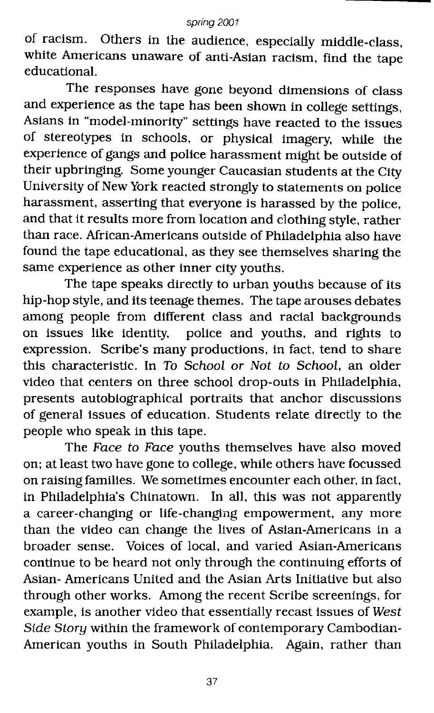of racism. Others in the audience, especially middle-class, white Americans unaware of anti-Asian racism, find the tape educational.

The responses have gone beyond dimensions of class and experience as the tape has been shown in college settings, Asians in "model-minority" settings have reacted to the issues of stereotypes in schools, or physical imagery, while the experience of gangs and police harassment might be outside of their upbringing. Some younger Caucasian students at the City University of New York reacted strongly to statements on police harassment, asserting that everyone is harassed by the police, and that it results more from location and clothing style, rather than race. Mrican-Americans outSide of Philadelphia also have found the tape educational. as they see themselves sharing the same experience as other inner city youths.

The tape speaks directly to urban youths because of its hip-hop style, and its teenage themes. The tape arouses debates among people from different class and racial backgrounds on issues like identity, police and youths, and rights to expression. Scribe's many productions, in fact, tend to share this characteristic. In To School or Not to School, an older Video that centers on three school drop-outs in Philadelphia, presents autobiographical portraits that anchor discussions of general issues of education. Students relate directly to the people who speak in this tape.

The Face to Face youths themselves have also moved on; at least two have gone to college, while others have focussed on raising families. We sometimes encounter each other, in fact, in Philadelphia's Chinatown. In all, this was not apparently a career-changing or life-changing empowerment, any more than the video can change the lives of Asian-Americans in a broader sense. Voices of local, and varied Asian-Americans continue to be heard not only through the continuing efforts of Asian- Americans United and the Asian Arts Initiative but also through other works. Among the recent Scribe screenings, for example, is another video that essentially recast issues of West Side Story within the framework of contemporary Cambodian-American youths in South Philadelphia. Again, rather than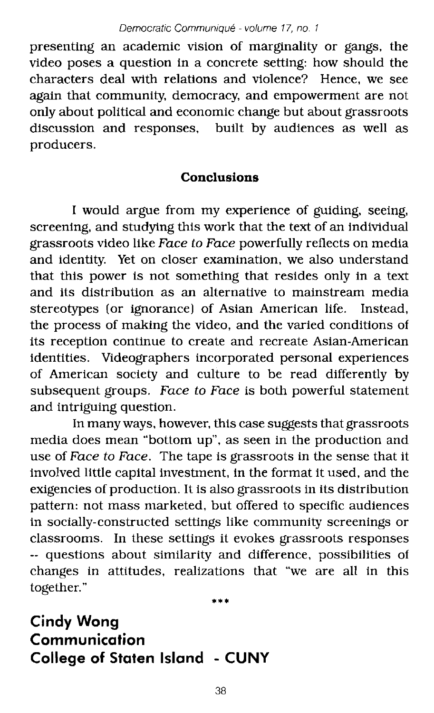presenting an academic vision of marginality or gangs, the video poses a question in a concrete setting: how should the characters deal with relations and violence? Hence, we see again that community, democracy, and empowerment are not only about political and economic change but about grassroots discussion and responses, built by audiences as well as producers.

### **Conclusions**

I would argue from my experience of guiding, seeing, screening, and studying this work that the text of an individual grassroots video like Face to Face powerfully reflects on media and identity. Yet on closer examination, we also understand that this power is not something that resides only in a text and its distribution as an alternative to mainstream media stereotypes (or ignorance) of Asian American life. Instead, the process of making the video, and the varied conditions of its reception continue to create and recreate Asian-American identities. Videographers incorporated personal experiences of American society and culture to be read differently by subsequent groups. Face to Face is both powerful statement and intriguing question.

In many ways, however, this case suggests that grassroots media does mean "bottom up", as seen in the production and use of Face to Face. The tape is grassroots in the sense that it involved little capital investment, in the format it used, and the exigencies of production. It is also grassroots in its distribution pattern: not mass marketed, but offered to specific audiences in socially-constructed settings like community screenings or classrooms. In these settings it evokes grassroots responses -- questions about similarity and difference, possibilities of changes in attitudes, realizations that "we are all in this together."

**Cindy Wong Communication College of Staten Island - CUNY**

\*\*\*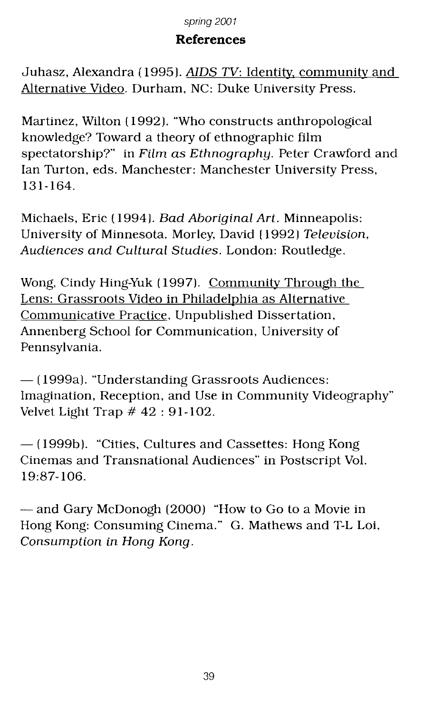### **References**

Juhasz. Alexandra (1995). *AIDS TV:* Identity community and Alternative Video. Durham. NC: Duke University Press.

Martinez. Wilton (1992). "Who constructs anthropological knowledge? Toward a theory of ethnographic film spectatorship?" in Film as Ethnography. Peter Crawford and Ian Turton. eds. Manchester: Manchester University Press, 131-164.

Michaels. Eric (1994). Bad Aboriginal Art. Minneapolis: University of Minnesota. Morley. David (1992) Television. Audiences and Cultural Studies. London: Routledge.

Wong. Cindy Hing-Yuk (1997). Community Through the Lens: Grassroots Video in Philadelphia as Alternative Communicative Practice. Unpublished Dissertation. Annenberg School for Communication, University of Pennsylvania.

 $-$  (1999a). "Understanding Grassroots Audiences: Imagination, Reception. and Use in Community Videography" Velvet Light Trap # 42 : 91-102.

 $-$  (1999b). "Cities, Cultures and Cassettes: Hong Kong Cinemas and Transnational Audiences" in Postscript Vol. 19:87-106.

- and Gary McDonogh (2000) "How to Go to a Movie in Hong Kong: Consuming Cinema." G. Mathews and T-L Loi. Consumption in Hong Kong.